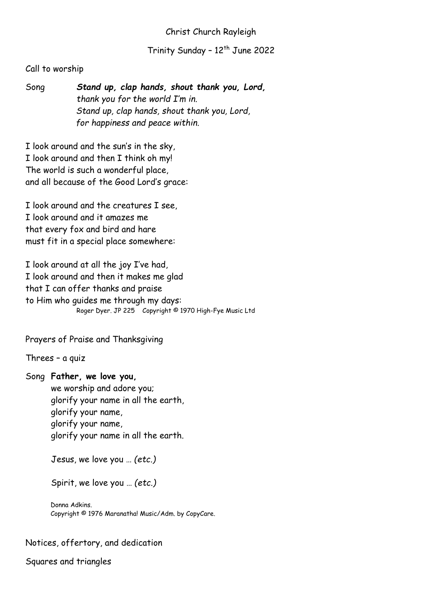## Christ Church Rayleigh

Trinity Sunday - 12<sup>th</sup> June 2022

## Call to worship

Song *Stand up, clap hands, shout thank you, Lord, thank you for the world I'm in. Stand up, clap hands, shout thank you, Lord, for happiness and peace within.*

I look around and the sun's in the sky, I look around and then I think oh my! The world is such a wonderful place, and all because of the Good Lord's grace:

I look around and the creatures I see, I look around and it amazes me that every fox and bird and hare must fit in a special place somewhere:

I look around at all the joy I've had, I look around and then it makes me glad that I can offer thanks and praise to Him who guides me through my days: Roger Dyer. JP 225 Copyright © 1970 High-Fye Music Ltd

Prayers of Praise and Thanksgiving

Threes – a quiz

Song **Father, we love you,** we worship and adore you; glorify your name in all the earth, glorify your name, glorify your name, glorify your name in all the earth.

Jesus, we love you … *(etc.)*

Spirit, we love you … *(etc.)*

Donna Adkins. Copyright © 1976 Maranatha! Music/Adm. by CopyCare.

#### Notices, offertory, and dedication

Squares and triangles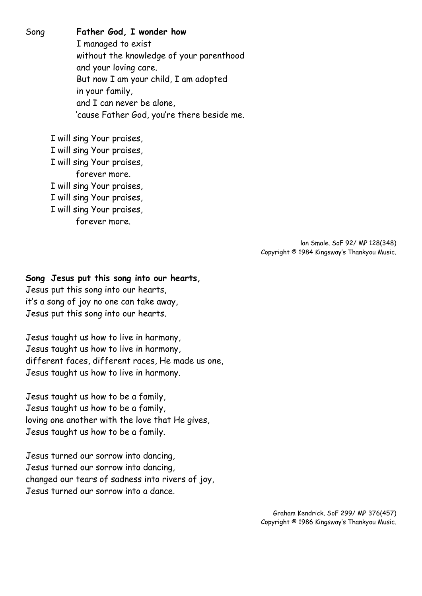Song **Father God, I wonder how** I managed to exist without the knowledge of your parenthood and your loving care. But now I am your child, I am adopted in your family, and I can never be alone, 'cause Father God, you're there beside me.

> I will sing Your praises, I will sing Your praises, I will sing Your praises, forever more. I will sing Your praises, I will sing Your praises, I will sing Your praises, forever more.

> > lan Smale. SoF 92/ MP 128(348) Copyright © 1984 Kingsway's Thankyou Music.

#### **Song Jesus put this song into our hearts,**

Jesus put this song into our hearts, it's a song of joy no one can take away, Jesus put this song into our hearts.

Jesus taught us how to live in harmony, Jesus taught us how to live in harmony, different faces, different races, He made us one, Jesus taught us how to live in harmony.

Jesus taught us how to be a family, Jesus taught us how to be a family, loving one another with the love that He gives, Jesus taught us how to be a family.

Jesus turned our sorrow into dancing, Jesus turned our sorrow into dancing, changed our tears of sadness into rivers of joy, Jesus turned our sorrow into a dance.

> Graham Kendrick. SoF 299/ MP 376(457) Copyright © 1986 Kingsway's Thankyou Music.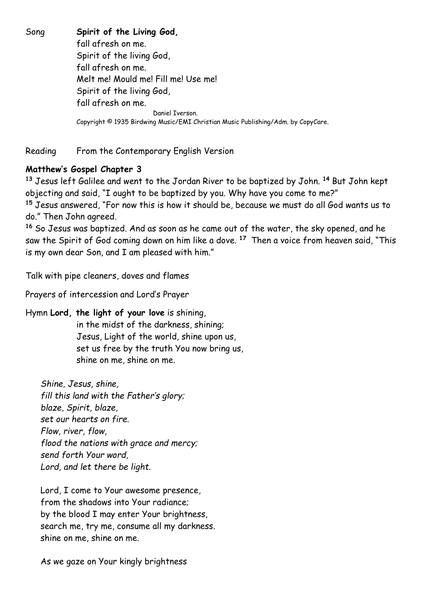Song **Spirit of the Living God,**  fall afresh on me. Spirit of the living God, fall afresh on me. Melt me! Mould me! Fill me! Use me! Spirit of the living God, fall afresh on me. Daniel Iverson. Copyright © 1935 Birdwing Music/EMI Christian Music Publishing/Adm. by CopyCare.

Reading From the Contemporary English Version

# **Matthew's Gospel Chapter 3**

**<sup>13</sup>** Jesus left Galilee and went to the Jordan River to be baptized by John. **<sup>14</sup>** But John kept objecting and said, "I ought to be baptized by you. Why have you come to me?" **<sup>15</sup>** Jesus answered, "For now this is how it should be, because we must do all God wants us to do." Then John agreed.

**<sup>16</sup>** So Jesus was baptized. And as soon as he came out of the water, the sky opened, and he saw the Spirit of God coming down on him like a dove. **<sup>17</sup>** Then a voice from heaven said, "This is my own dear Son, and I am pleased with him."

Talk with pipe cleaners, doves and flames

Prayers of intercession and Lord's Prayer

## Hymn **Lord, the light of your love** is shining,

in the midst of the darkness, shining; Jesus, Light of the world, shine upon us, set us free by the truth You now bring us, shine on me, shine on me.

*Shine, Jesus, shine, fill this land with the Father's glory; blaze, Spirit, blaze, set our hearts on fire. Flow, river, flow, flood the nations with grace and mercy; send forth Your word, Lord, and let there be light.*

Lord, I come to Your awesome presence, from the shadows into Your radiance; by the blood I may enter Your brightness, search me, try me, consume all my darkness. shine on me, shine on me.

As we gaze on Your kingly brightness